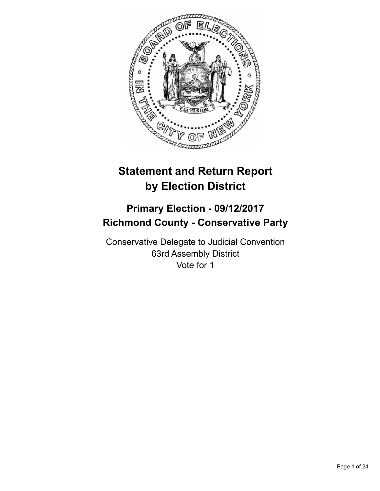

# **Statement and Return Report by Election District**

# **Primary Election - 09/12/2017 Richmond County - Conservative Party**

Conservative Delegate to Judicial Convention 63rd Assembly District Vote for 1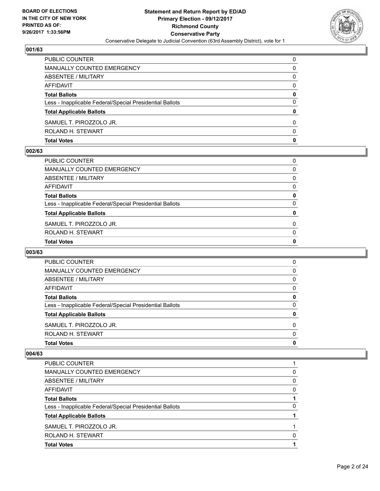

| <b>Total Votes</b>                                       | $\mathbf 0$ |
|----------------------------------------------------------|-------------|
| ROLAND H. STEWART                                        | 0           |
| SAMUEL T. PIROZZOLO JR.                                  | 0           |
| <b>Total Applicable Ballots</b>                          | 0           |
| Less - Inapplicable Federal/Special Presidential Ballots | $\Omega$    |
| <b>Total Ballots</b>                                     | 0           |
| AFFIDAVIT                                                | $\Omega$    |
| ABSENTEE / MILITARY                                      | 0           |
| MANUALLY COUNTED EMERGENCY                               | 0           |
| PUBLIC COUNTER                                           | $\Omega$    |

#### **002/63**

| PUBLIC COUNTER                                           | 0            |
|----------------------------------------------------------|--------------|
| MANUALLY COUNTED EMERGENCY                               | $\Omega$     |
| ABSENTEE / MILITARY                                      | $\Omega$     |
| AFFIDAVIT                                                | 0            |
| <b>Total Ballots</b>                                     | 0            |
| Less - Inapplicable Federal/Special Presidential Ballots | $\Omega$     |
| <b>Total Applicable Ballots</b>                          | 0            |
| SAMUEL T. PIROZZOLO JR.                                  | $\mathbf{0}$ |
| ROLAND H. STEWART                                        | $\mathbf{0}$ |
| <b>Total Votes</b>                                       | 0            |
|                                                          |              |

### **003/63**

| <b>Total Votes</b>                                       | 0        |
|----------------------------------------------------------|----------|
| ROLAND H. STEWART                                        | $\Omega$ |
| SAMUEL T. PIROZZOLO JR.                                  | $\Omega$ |
| <b>Total Applicable Ballots</b>                          | 0        |
| Less - Inapplicable Federal/Special Presidential Ballots | $\Omega$ |
| <b>Total Ballots</b>                                     | 0        |
| AFFIDAVIT                                                | 0        |
| ABSENTEE / MILITARY                                      | 0        |
| MANUALLY COUNTED EMERGENCY                               | 0        |
| <b>PUBLIC COUNTER</b>                                    | 0        |

| <b>PUBLIC COUNTER</b>                                    |          |
|----------------------------------------------------------|----------|
| MANUALLY COUNTED EMERGENCY                               | 0        |
| ABSENTEE / MILITARY                                      | $\Omega$ |
| AFFIDAVIT                                                | 0        |
| <b>Total Ballots</b>                                     |          |
| Less - Inapplicable Federal/Special Presidential Ballots | 0        |
| <b>Total Applicable Ballots</b>                          |          |
| SAMUEL T. PIROZZOLO JR.                                  |          |
| ROLAND H. STEWART                                        | O        |
| <b>Total Votes</b>                                       |          |
|                                                          |          |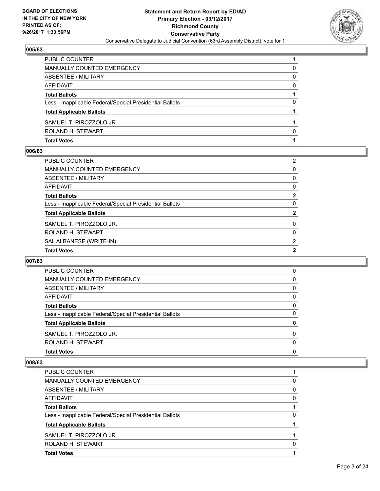

| <b>Total Votes</b>                                       |   |
|----------------------------------------------------------|---|
| ROLAND H. STEWART                                        | O |
| SAMUEL T. PIROZZOLO JR.                                  |   |
| <b>Total Applicable Ballots</b>                          |   |
| Less - Inapplicable Federal/Special Presidential Ballots | 0 |
| <b>Total Ballots</b>                                     |   |
| AFFIDAVIT                                                | 0 |
| ABSENTEE / MILITARY                                      | 0 |
| MANUALLY COUNTED EMERGENCY                               | 0 |
| PUBLIC COUNTER                                           |   |

#### **006/63**

| <b>PUBLIC COUNTER</b>                                    | 2            |
|----------------------------------------------------------|--------------|
| <b>MANUALLY COUNTED EMERGENCY</b>                        | 0            |
| ABSENTEE / MILITARY                                      | 0            |
| AFFIDAVIT                                                | 0            |
| <b>Total Ballots</b>                                     | $\mathbf{2}$ |
| Less - Inapplicable Federal/Special Presidential Ballots | 0            |
| <b>Total Applicable Ballots</b>                          | 2            |
| SAMUEL T. PIROZZOLO JR.                                  | 0            |
| ROLAND H. STEWART                                        | 0            |
| SAL ALBANESE (WRITE-IN)                                  | 2            |
| <b>Total Votes</b>                                       | $\mathbf{2}$ |

### **007/63**

| <b>PUBLIC COUNTER</b>                                    | 0 |
|----------------------------------------------------------|---|
| MANUALLY COUNTED EMERGENCY                               | 0 |
| ABSENTEE / MILITARY                                      | 0 |
| AFFIDAVIT                                                | 0 |
| <b>Total Ballots</b>                                     | 0 |
| Less - Inapplicable Federal/Special Presidential Ballots | 0 |
| <b>Total Applicable Ballots</b>                          | 0 |
| SAMUEL T. PIROZZOLO JR.                                  | 0 |
| ROLAND H. STEWART                                        | 0 |
| <b>Total Votes</b>                                       | 0 |

| ROLAND H. STEWART<br><b>Total Votes</b>                  | 0        |
|----------------------------------------------------------|----------|
| SAMUEL T. PIROZZOLO JR.                                  |          |
| <b>Total Applicable Ballots</b>                          |          |
| Less - Inapplicable Federal/Special Presidential Ballots | 0        |
| <b>Total Ballots</b>                                     |          |
| AFFIDAVIT                                                | 0        |
| ABSENTEE / MILITARY                                      | $\Omega$ |
| <b>MANUALLY COUNTED EMERGENCY</b>                        | 0        |
| PUBLIC COUNTER                                           |          |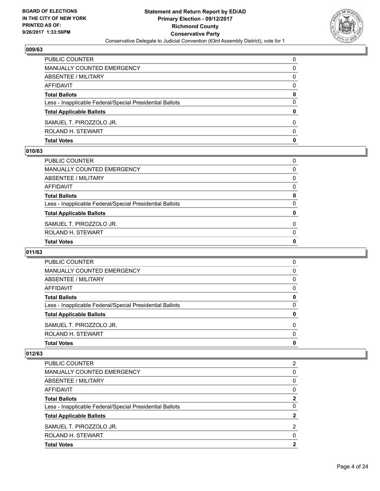

| <b>Total Votes</b>                                       | 0 |
|----------------------------------------------------------|---|
| ROLAND H. STEWART                                        | 0 |
| SAMUEL T. PIROZZOLO JR.                                  | 0 |
| <b>Total Applicable Ballots</b>                          | 0 |
| Less - Inapplicable Federal/Special Presidential Ballots | 0 |
| <b>Total Ballots</b>                                     | 0 |
| AFFIDAVIT                                                | 0 |
| ABSENTEE / MILITARY                                      | 0 |
| MANUALLY COUNTED EMERGENCY                               | 0 |
| PUBLIC COUNTER                                           | 0 |

#### **010/63**

| PUBLIC COUNTER                                           | 0            |
|----------------------------------------------------------|--------------|
| MANUALLY COUNTED EMERGENCY                               | $\Omega$     |
| ABSENTEE / MILITARY                                      | $\Omega$     |
| AFFIDAVIT                                                | 0            |
| <b>Total Ballots</b>                                     | 0            |
| Less - Inapplicable Federal/Special Presidential Ballots | $\Omega$     |
| <b>Total Applicable Ballots</b>                          | 0            |
| SAMUEL T. PIROZZOLO JR.                                  | $\mathbf{0}$ |
| ROLAND H. STEWART                                        | $\mathbf{0}$ |
| <b>Total Votes</b>                                       | 0            |
|                                                          |              |

# **011/63**

| <b>Total Votes</b>                                       | 0        |
|----------------------------------------------------------|----------|
| ROLAND H. STEWART                                        | $\Omega$ |
| SAMUEL T. PIROZZOLO JR.                                  | 0        |
| <b>Total Applicable Ballots</b>                          | 0        |
| Less - Inapplicable Federal/Special Presidential Ballots | 0        |
| <b>Total Ballots</b>                                     | 0        |
| AFFIDAVIT                                                | 0        |
| ABSENTEE / MILITARY                                      | 0        |
| MANUALLY COUNTED EMERGENCY                               | 0        |
| <b>PUBLIC COUNTER</b>                                    | 0        |

|                                                          | 2 |
|----------------------------------------------------------|---|
| PUBLIC COUNTER                                           |   |
| <b>MANUALLY COUNTED EMERGENCY</b>                        | 0 |
| ABSENTEE / MILITARY                                      | 0 |
| AFFIDAVIT                                                | 0 |
| <b>Total Ballots</b>                                     | 2 |
| Less - Inapplicable Federal/Special Presidential Ballots | 0 |
| <b>Total Applicable Ballots</b>                          | 2 |
| SAMUEL T. PIROZZOLO JR.                                  | 2 |
| ROLAND H. STEWART                                        | 0 |
| <b>Total Votes</b>                                       | 2 |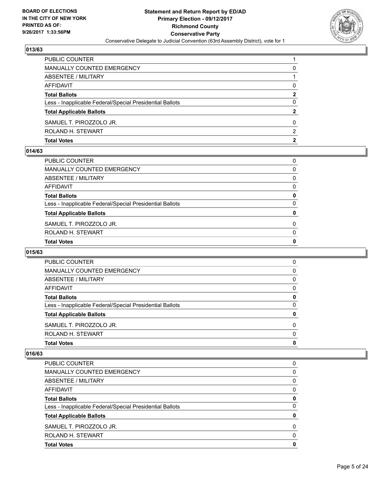

| <b>PUBLIC COUNTER</b>                                    |   |
|----------------------------------------------------------|---|
| MANUALLY COUNTED EMERGENCY                               | 0 |
| ABSENTEE / MILITARY                                      |   |
| AFFIDAVIT                                                | 0 |
| <b>Total Ballots</b>                                     | 2 |
| Less - Inapplicable Federal/Special Presidential Ballots | 0 |
| <b>Total Applicable Ballots</b>                          | 2 |
| SAMUEL T. PIROZZOLO JR.                                  | 0 |
| ROLAND H. STEWART                                        | 2 |
| <b>Total Votes</b>                                       | 2 |

#### **014/63**

| PUBLIC COUNTER                                           | 0            |
|----------------------------------------------------------|--------------|
| MANUALLY COUNTED EMERGENCY                               | $\Omega$     |
| ABSENTEE / MILITARY                                      | $\Omega$     |
| AFFIDAVIT                                                | 0            |
| <b>Total Ballots</b>                                     | 0            |
| Less - Inapplicable Federal/Special Presidential Ballots | $\Omega$     |
| <b>Total Applicable Ballots</b>                          | 0            |
| SAMUEL T. PIROZZOLO JR.                                  | $\mathbf{0}$ |
| ROLAND H. STEWART                                        | $\mathbf{0}$ |
| <b>Total Votes</b>                                       | 0            |
|                                                          |              |

# **015/63**

| <b>Total Votes</b>                                       |          |
|----------------------------------------------------------|----------|
|                                                          | 0        |
| ROLAND H. STEWART                                        | $\Omega$ |
| SAMUEL T. PIROZZOLO JR.                                  | 0        |
| <b>Total Applicable Ballots</b>                          | 0        |
| Less - Inapplicable Federal/Special Presidential Ballots | 0        |
| <b>Total Ballots</b>                                     | 0        |
| AFFIDAVIT                                                | 0        |
| ABSENTEE / MILITARY                                      | 0        |
| MANUALLY COUNTED EMERGENCY                               | 0        |
| <b>PUBLIC COUNTER</b>                                    | 0        |

| <b>Total Votes</b>                                       | 0        |
|----------------------------------------------------------|----------|
| ROLAND H. STEWART                                        | $\Omega$ |
| SAMUEL T. PIROZZOLO JR.                                  | $\Omega$ |
| <b>Total Applicable Ballots</b>                          | 0        |
| Less - Inapplicable Federal/Special Presidential Ballots | 0        |
| <b>Total Ballots</b>                                     | 0        |
| AFFIDAVIT                                                | 0        |
| ABSENTEE / MILITARY                                      | $\Omega$ |
| MANUALLY COUNTED EMERGENCY                               | 0        |
| <b>PUBLIC COUNTER</b>                                    | 0        |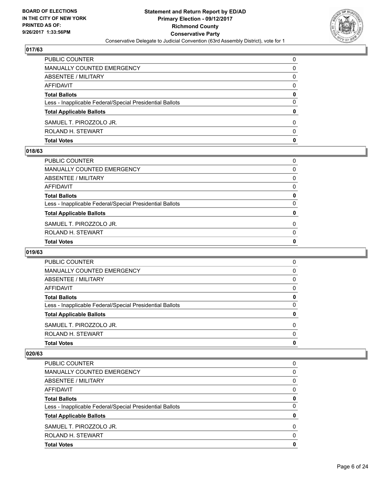

| PUBLIC COUNTER                                           | $\Omega$ |
|----------------------------------------------------------|----------|
| MANUALLY COUNTED EMERGENCY                               | 0        |
| <b>ABSENTEE / MILITARY</b>                               | 0        |
| AFFIDAVIT                                                | 0        |
| <b>Total Ballots</b>                                     | 0        |
| Less - Inapplicable Federal/Special Presidential Ballots | 0        |
| <b>Total Applicable Ballots</b>                          | 0        |
| SAMUEL T. PIROZZOLO JR.                                  | 0        |
| ROLAND H. STEWART                                        | 0        |
| <b>Total Votes</b>                                       | 0        |

#### **018/63**

| <b>Total Votes</b>                                       | $\mathbf{0}$ |
|----------------------------------------------------------|--------------|
|                                                          |              |
| ROLAND H. STEWART                                        | $\mathbf{0}$ |
| SAMUEL T. PIROZZOLO JR.                                  | $\Omega$     |
| <b>Total Applicable Ballots</b>                          | 0            |
| Less - Inapplicable Federal/Special Presidential Ballots | 0            |
| <b>Total Ballots</b>                                     | 0            |
| AFFIDAVIT                                                | 0            |
| ABSENTEE / MILITARY                                      | $\Omega$     |
| MANUALLY COUNTED EMERGENCY                               | $\Omega$     |
| PUBLIC COUNTER                                           | 0            |
|                                                          |              |

# **019/63**

| <b>Total Votes</b>                                       |          |
|----------------------------------------------------------|----------|
|                                                          | 0        |
| ROLAND H. STEWART                                        | $\Omega$ |
| SAMUEL T. PIROZZOLO JR.                                  | 0        |
| <b>Total Applicable Ballots</b>                          | 0        |
| Less - Inapplicable Federal/Special Presidential Ballots | 0        |
| <b>Total Ballots</b>                                     | 0        |
| AFFIDAVIT                                                | 0        |
| ABSENTEE / MILITARY                                      | 0        |
| MANUALLY COUNTED EMERGENCY                               | 0        |
| <b>PUBLIC COUNTER</b>                                    | 0        |

| <b>Total Votes</b>                                       | 0        |
|----------------------------------------------------------|----------|
| ROLAND H. STEWART                                        | $\Omega$ |
| SAMUEL T. PIROZZOLO JR.                                  | 0        |
| <b>Total Applicable Ballots</b>                          | 0        |
| Less - Inapplicable Federal/Special Presidential Ballots | 0        |
| <b>Total Ballots</b>                                     | 0        |
| AFFIDAVIT                                                | 0        |
| ABSENTEE / MILITARY                                      | 0        |
| MANUALLY COUNTED EMERGENCY                               | 0        |
| <b>PUBLIC COUNTER</b>                                    | 0        |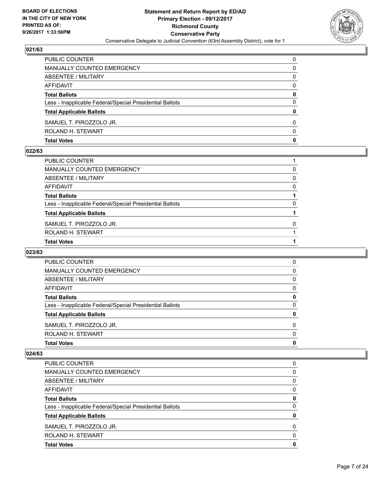

| <b>PUBLIC COUNTER</b>                                    | $\Omega$ |
|----------------------------------------------------------|----------|
| MANUALLY COUNTED EMERGENCY                               | 0        |
| ABSENTEE / MILITARY                                      | 0        |
| AFFIDAVIT                                                | 0        |
| <b>Total Ballots</b>                                     | 0        |
| Less - Inapplicable Federal/Special Presidential Ballots | 0        |
| <b>Total Applicable Ballots</b>                          | 0        |
| SAMUEL T. PIROZZOLO JR.                                  | 0        |
| ROLAND H. STEWART                                        | $\Omega$ |
| <b>Total Votes</b>                                       | 0        |

#### **022/63**

| PUBLIC COUNTER                                           |          |
|----------------------------------------------------------|----------|
| MANUALLY COUNTED EMERGENCY                               | 0        |
| ABSENTEE / MILITARY                                      | 0        |
| AFFIDAVIT                                                | 0        |
| Total Ballots                                            |          |
| Less - Inapplicable Federal/Special Presidential Ballots | 0        |
| <b>Total Applicable Ballots</b>                          |          |
| SAMUEL T. PIROZZOLO JR.                                  | $\Omega$ |
| ROLAND H. STEWART                                        |          |
| <b>Total Votes</b>                                       |          |
|                                                          |          |

# **023/63**

| <b>Total Votes</b>                                       |          |
|----------------------------------------------------------|----------|
|                                                          | 0        |
| ROLAND H. STEWART                                        | $\Omega$ |
| SAMUEL T. PIROZZOLO JR.                                  | 0        |
| <b>Total Applicable Ballots</b>                          | 0        |
| Less - Inapplicable Federal/Special Presidential Ballots | 0        |
| <b>Total Ballots</b>                                     | 0        |
| AFFIDAVIT                                                | 0        |
| ABSENTEE / MILITARY                                      | 0        |
| MANUALLY COUNTED EMERGENCY                               | 0        |
| <b>PUBLIC COUNTER</b>                                    | 0        |

| <b>Total Votes</b>                                       | 0        |
|----------------------------------------------------------|----------|
| ROLAND H. STEWART                                        | 0        |
| SAMUEL T. PIROZZOLO JR.                                  | $\Omega$ |
| <b>Total Applicable Ballots</b>                          | 0        |
| Less - Inapplicable Federal/Special Presidential Ballots | 0        |
| <b>Total Ballots</b>                                     | 0        |
| AFFIDAVIT                                                | 0        |
| ABSENTEE / MILITARY                                      | 0        |
| MANUALLY COUNTED EMERGENCY                               | 0        |
| <b>PUBLIC COUNTER</b>                                    | 0        |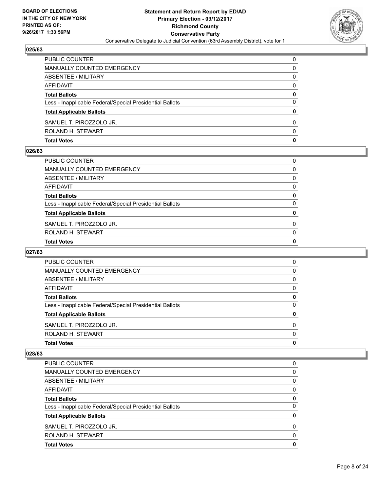

| <b>Total Votes</b>                                       | 0        |
|----------------------------------------------------------|----------|
| ROLAND H. STEWART                                        | 0        |
| SAMUEL T. PIROZZOLO JR.                                  | 0        |
| <b>Total Applicable Ballots</b>                          | 0        |
| Less - Inapplicable Federal/Special Presidential Ballots | 0        |
| <b>Total Ballots</b>                                     | 0        |
| AFFIDAVIT                                                | $\Omega$ |
| ABSENTEE / MILITARY                                      | 0        |
| MANUALLY COUNTED EMERGENCY                               | 0        |
| PUBLIC COUNTER                                           | $\Omega$ |

#### **026/63**

| PUBLIC COUNTER                                           | 0            |
|----------------------------------------------------------|--------------|
| MANUALLY COUNTED EMERGENCY                               | $\Omega$     |
| ABSENTEE / MILITARY                                      | $\Omega$     |
| AFFIDAVIT                                                | 0            |
| <b>Total Ballots</b>                                     | 0            |
| Less - Inapplicable Federal/Special Presidential Ballots | $\Omega$     |
| <b>Total Applicable Ballots</b>                          | 0            |
| SAMUEL T. PIROZZOLO JR.                                  | $\mathbf{0}$ |
| ROLAND H. STEWART                                        | $\mathbf{0}$ |
| <b>Total Votes</b>                                       | 0            |
|                                                          |              |

# **027/63**

| <b>Total Votes</b>                                       | 0        |
|----------------------------------------------------------|----------|
| ROLAND H. STEWART                                        | $\Omega$ |
| SAMUEL T. PIROZZOLO JR.                                  | $\Omega$ |
| <b>Total Applicable Ballots</b>                          | 0        |
| Less - Inapplicable Federal/Special Presidential Ballots | $\Omega$ |
| <b>Total Ballots</b>                                     | 0        |
| AFFIDAVIT                                                | 0        |
| ABSENTEE / MILITARY                                      | 0        |
| MANUALLY COUNTED EMERGENCY                               | 0        |
| <b>PUBLIC COUNTER</b>                                    | 0        |

| <b>Total Votes</b>                                       | 0        |
|----------------------------------------------------------|----------|
| ROLAND H. STEWART                                        | 0        |
| SAMUEL T. PIROZZOLO JR.                                  | $\Omega$ |
| <b>Total Applicable Ballots</b>                          | 0        |
| Less - Inapplicable Federal/Special Presidential Ballots | 0        |
| <b>Total Ballots</b>                                     | 0        |
| AFFIDAVIT                                                | 0        |
| ABSENTEE / MILITARY                                      | 0        |
| MANUALLY COUNTED EMERGENCY                               | 0        |
| <b>PUBLIC COUNTER</b>                                    | 0        |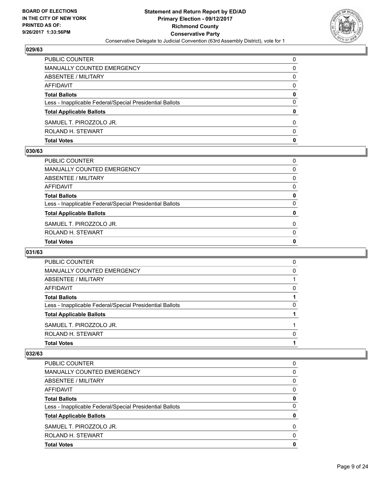

| <b>Total Votes</b>                                       | 0        |
|----------------------------------------------------------|----------|
| ROLAND H. STEWART                                        | 0        |
| SAMUEL T. PIROZZOLO JR.                                  | 0        |
| <b>Total Applicable Ballots</b>                          | 0        |
| Less - Inapplicable Federal/Special Presidential Ballots | 0        |
| <b>Total Ballots</b>                                     | 0        |
| AFFIDAVIT                                                | $\Omega$ |
| <b>ABSENTEE / MILITARY</b>                               | 0        |
| MANUALLY COUNTED EMERGENCY                               | 0        |
| PUBLIC COUNTER                                           | $\Omega$ |

#### **030/63**

| PUBLIC COUNTER                                           | 0            |
|----------------------------------------------------------|--------------|
| MANUALLY COUNTED EMERGENCY                               | $\Omega$     |
| ABSENTEE / MILITARY                                      | $\Omega$     |
| AFFIDAVIT                                                | 0            |
| <b>Total Ballots</b>                                     | 0            |
| Less - Inapplicable Federal/Special Presidential Ballots | $\Omega$     |
| <b>Total Applicable Ballots</b>                          | 0            |
| SAMUEL T. PIROZZOLO JR.                                  | $\mathbf{0}$ |
| ROLAND H. STEWART                                        | $\mathbf{0}$ |
| <b>Total Votes</b>                                       | 0            |
|                                                          |              |

# **031/63**

| <b>Total Votes</b>                                       |          |
|----------------------------------------------------------|----------|
| ROLAND H. STEWART                                        | 0        |
| SAMUEL T. PIROZZOLO JR.                                  |          |
| <b>Total Applicable Ballots</b>                          |          |
| Less - Inapplicable Federal/Special Presidential Ballots | $\Omega$ |
| <b>Total Ballots</b>                                     |          |
| AFFIDAVIT                                                | 0        |
| ABSENTEE / MILITARY                                      |          |
| MANUALLY COUNTED EMERGENCY                               | 0        |
| <b>PUBLIC COUNTER</b>                                    | 0        |

| <b>PUBLIC COUNTER</b>                                    | O |
|----------------------------------------------------------|---|
| <b>MANUALLY COUNTED EMERGENCY</b>                        | 0 |
| ABSENTEE / MILITARY                                      | 0 |
| AFFIDAVIT                                                | 0 |
| <b>Total Ballots</b>                                     | 0 |
| Less - Inapplicable Federal/Special Presidential Ballots | 0 |
| <b>Total Applicable Ballots</b>                          | 0 |
| SAMUEL T. PIROZZOLO JR.                                  | 0 |
| ROLAND H. STEWART                                        | 0 |
| <b>Total Votes</b>                                       | O |
|                                                          |   |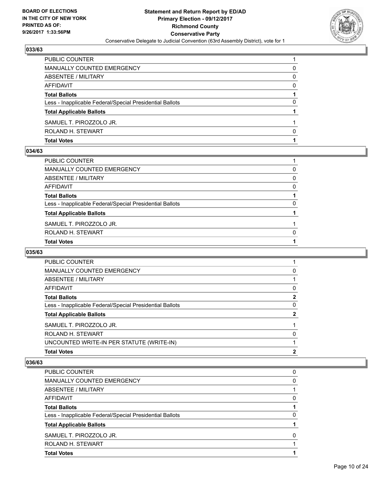

| <b>Total Votes</b>                                       |   |
|----------------------------------------------------------|---|
| ROLAND H. STEWART                                        | n |
| SAMUEL T. PIROZZOLO JR.                                  |   |
| <b>Total Applicable Ballots</b>                          |   |
| Less - Inapplicable Federal/Special Presidential Ballots | 0 |
| <b>Total Ballots</b>                                     |   |
| AFFIDAVIT                                                | 0 |
| ABSENTEE / MILITARY                                      | 0 |
| MANUALLY COUNTED EMERGENCY                               | 0 |
| <b>PUBLIC COUNTER</b>                                    |   |

#### **034/63**

| PUBLIC COUNTER                                           |              |
|----------------------------------------------------------|--------------|
| MANUALLY COUNTED EMERGENCY                               | 0            |
| ABSENTEE / MILITARY                                      | $\mathbf{0}$ |
| AFFIDAVIT                                                | 0            |
| Total Ballots                                            |              |
| Less - Inapplicable Federal/Special Presidential Ballots | 0            |
| <b>Total Applicable Ballots</b>                          |              |
| SAMUEL T. PIROZZOLO JR.                                  |              |
| ROLAND H. STEWART                                        | $\Omega$     |
| <b>Total Votes</b>                                       |              |

# **035/63**

| <b>PUBLIC COUNTER</b>                                    |   |
|----------------------------------------------------------|---|
| <b>MANUALLY COUNTED EMERGENCY</b>                        | 0 |
| ABSENTEE / MILITARY                                      |   |
| AFFIDAVIT                                                | 0 |
| <b>Total Ballots</b>                                     | 2 |
| Less - Inapplicable Federal/Special Presidential Ballots | 0 |
| <b>Total Applicable Ballots</b>                          | 2 |
| SAMUEL T. PIROZZOLO JR.                                  |   |
| ROLAND H. STEWART                                        | 0 |
| UNCOUNTED WRITE-IN PER STATUTE (WRITE-IN)                |   |
| <b>Total Votes</b>                                       | 2 |
|                                                          |   |

| <b>Total Votes</b>                                       |          |
|----------------------------------------------------------|----------|
| ROLAND H. STEWART                                        |          |
| SAMUEL T. PIROZZOLO JR.                                  | $\Omega$ |
| <b>Total Applicable Ballots</b>                          |          |
| Less - Inapplicable Federal/Special Presidential Ballots | 0        |
| <b>Total Ballots</b>                                     |          |
| AFFIDAVIT                                                | 0        |
| ABSENTEE / MILITARY                                      |          |
| <b>MANUALLY COUNTED EMERGENCY</b>                        | 0        |
| PUBLIC COUNTER                                           | 0        |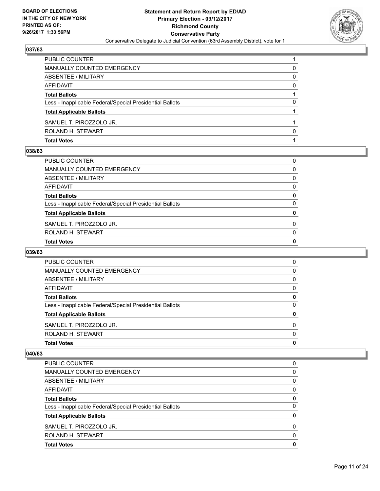

| <b>Total Votes</b>                                       |          |
|----------------------------------------------------------|----------|
| ROLAND H. STEWART                                        | O        |
| SAMUEL T. PIROZZOLO JR.                                  |          |
| <b>Total Applicable Ballots</b>                          |          |
| Less - Inapplicable Federal/Special Presidential Ballots | 0        |
| <b>Total Ballots</b>                                     |          |
| AFFIDAVIT                                                | $\Omega$ |
| ABSENTEE / MILITARY                                      | 0        |
| MANUALLY COUNTED EMERGENCY                               | 0        |
| <b>PUBLIC COUNTER</b>                                    |          |

#### **038/63**

| $\mathbf{0}$<br>$\mathbf{0}$ |
|------------------------------|
|                              |
|                              |
| 0                            |
| 0                            |
| $\mathbf{0}$                 |
| 0                            |
| $\mathbf{0}$                 |
| $\mathbf{0}$                 |
| $\Omega$                     |
| 0                            |
|                              |

# **039/63**

| <b>Total Votes</b>                                       | 0        |
|----------------------------------------------------------|----------|
| ROLAND H. STEWART                                        | $\Omega$ |
| SAMUEL T. PIROZZOLO JR.                                  | $\Omega$ |
| <b>Total Applicable Ballots</b>                          | 0        |
| Less - Inapplicable Federal/Special Presidential Ballots | $\Omega$ |
| <b>Total Ballots</b>                                     | 0        |
| AFFIDAVIT                                                | 0        |
| ABSENTEE / MILITARY                                      | 0        |
| MANUALLY COUNTED EMERGENCY                               | 0        |
| <b>PUBLIC COUNTER</b>                                    | 0        |

| <b>Total Votes</b>                                       | 0        |
|----------------------------------------------------------|----------|
| ROLAND H. STEWART                                        | $\Omega$ |
| SAMUEL T. PIROZZOLO JR.                                  | 0        |
| <b>Total Applicable Ballots</b>                          | 0        |
| Less - Inapplicable Federal/Special Presidential Ballots | 0        |
| <b>Total Ballots</b>                                     | 0        |
| AFFIDAVIT                                                | 0        |
| ABSENTEE / MILITARY                                      | 0        |
| MANUALLY COUNTED EMERGENCY                               | 0        |
| <b>PUBLIC COUNTER</b>                                    | 0        |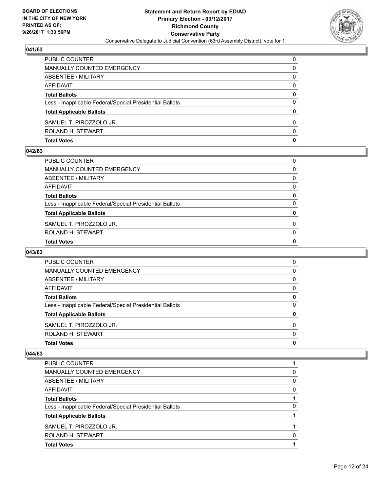

| <b>Total Votes</b>                                       | 0 |
|----------------------------------------------------------|---|
| ROLAND H. STEWART                                        | 0 |
| SAMUEL T. PIROZZOLO JR.                                  | 0 |
| <b>Total Applicable Ballots</b>                          | 0 |
| Less - Inapplicable Federal/Special Presidential Ballots | 0 |
| <b>Total Ballots</b>                                     | 0 |
| AFFIDAVIT                                                | 0 |
| ABSENTEE / MILITARY                                      | 0 |
| MANUALLY COUNTED EMERGENCY                               | 0 |
| PUBLIC COUNTER                                           | 0 |

#### **042/63**

| $\mathbf{0}$<br>$\mathbf{0}$ |
|------------------------------|
|                              |
|                              |
| 0                            |
| 0                            |
| $\mathbf{0}$                 |
| 0                            |
| $\mathbf{0}$                 |
| $\mathbf{0}$                 |
| $\Omega$                     |
| 0                            |
|                              |

# **043/63**

| <b>Total Votes</b>                                       | 0        |
|----------------------------------------------------------|----------|
| ROLAND H. STEWART                                        | $\Omega$ |
| SAMUEL T. PIROZZOLO JR.                                  | $\Omega$ |
| <b>Total Applicable Ballots</b>                          | 0        |
| Less - Inapplicable Federal/Special Presidential Ballots | $\Omega$ |
| <b>Total Ballots</b>                                     | 0        |
| AFFIDAVIT                                                | 0        |
| ABSENTEE / MILITARY                                      | 0        |
| MANUALLY COUNTED EMERGENCY                               | 0        |
| <b>PUBLIC COUNTER</b>                                    | 0        |

| <b>PUBLIC COUNTER</b>                                    |   |
|----------------------------------------------------------|---|
| <b>MANUALLY COUNTED EMERGENCY</b>                        | 0 |
| ABSENTEE / MILITARY                                      | 0 |
| AFFIDAVIT                                                | 0 |
| <b>Total Ballots</b>                                     |   |
| Less - Inapplicable Federal/Special Presidential Ballots | 0 |
| <b>Total Applicable Ballots</b>                          |   |
| SAMUEL T. PIROZZOLO JR.                                  |   |
| ROLAND H. STEWART                                        | 0 |
| <b>Total Votes</b>                                       |   |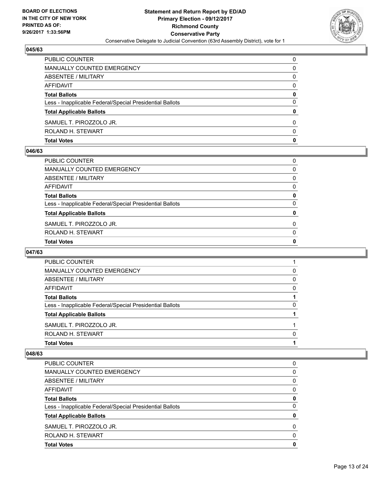

| <b>Total Votes</b>                                       | $\mathbf 0$ |
|----------------------------------------------------------|-------------|
| ROLAND H. STEWART                                        | 0           |
| SAMUEL T. PIROZZOLO JR.                                  | 0           |
| <b>Total Applicable Ballots</b>                          | 0           |
| Less - Inapplicable Federal/Special Presidential Ballots | $\Omega$    |
| <b>Total Ballots</b>                                     | 0           |
| AFFIDAVIT                                                | $\Omega$    |
| ABSENTEE / MILITARY                                      | 0           |
| MANUALLY COUNTED EMERGENCY                               | 0           |
| PUBLIC COUNTER                                           | $\Omega$    |

#### **046/63**

| <b>Total Votes</b>                                       | $\mathbf{0}$ |
|----------------------------------------------------------|--------------|
| ROLAND H. STEWART                                        | $\Omega$     |
| SAMUEL T. PIROZZOLO JR.                                  | $\Omega$     |
| <b>Total Applicable Ballots</b>                          | $\mathbf{0}$ |
| Less - Inapplicable Federal/Special Presidential Ballots | $\Omega$     |
| <b>Total Ballots</b>                                     | 0            |
| AFFIDAVIT                                                | 0            |
| ABSENTEE / MILITARY                                      | $\Omega$     |
| MANUALLY COUNTED EMERGENCY                               | 0            |
| PUBLIC COUNTER                                           | 0            |

# **047/63**

| <b>Total Votes</b>                                       |          |
|----------------------------------------------------------|----------|
| ROLAND H. STEWART                                        | 0        |
| SAMUEL T. PIROZZOLO JR.                                  |          |
| <b>Total Applicable Ballots</b>                          |          |
| Less - Inapplicable Federal/Special Presidential Ballots | $\Omega$ |
| <b>Total Ballots</b>                                     |          |
| AFFIDAVIT                                                | $\Omega$ |
| ABSENTEE / MILITARY                                      | 0        |
| MANUALLY COUNTED EMERGENCY                               | 0        |
| <b>PUBLIC COUNTER</b>                                    |          |

| <b>PUBLIC COUNTER</b>                                    | O |
|----------------------------------------------------------|---|
| <b>MANUALLY COUNTED EMERGENCY</b>                        | 0 |
| ABSENTEE / MILITARY                                      | 0 |
| AFFIDAVIT                                                | 0 |
| <b>Total Ballots</b>                                     | 0 |
| Less - Inapplicable Federal/Special Presidential Ballots | 0 |
| <b>Total Applicable Ballots</b>                          | 0 |
| SAMUEL T. PIROZZOLO JR.                                  | 0 |
| ROLAND H. STEWART                                        | 0 |
| <b>Total Votes</b>                                       | O |
|                                                          |   |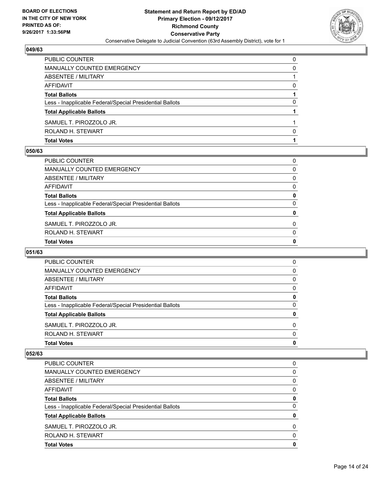

| <b>Total Votes</b>                                       |          |
|----------------------------------------------------------|----------|
| ROLAND H. STEWART                                        | O        |
| SAMUEL T. PIROZZOLO JR.                                  |          |
| <b>Total Applicable Ballots</b>                          |          |
| Less - Inapplicable Federal/Special Presidential Ballots | 0        |
| <b>Total Ballots</b>                                     |          |
| AFFIDAVIT                                                | 0        |
| <b>ABSENTEE / MILITARY</b>                               |          |
| MANUALLY COUNTED EMERGENCY                               | 0        |
| PUBLIC COUNTER                                           | $\Omega$ |

#### **050/63**

| $\mathbf{0}$<br>$\mathbf{0}$ |
|------------------------------|
|                              |
|                              |
| 0                            |
| 0                            |
| $\mathbf{0}$                 |
| 0                            |
| $\mathbf{0}$                 |
| $\mathbf{0}$                 |
| $\Omega$                     |
| 0                            |
|                              |

# **051/63**

| <b>Total Votes</b>                                       | 0        |
|----------------------------------------------------------|----------|
| ROLAND H. STEWART                                        | $\Omega$ |
| SAMUEL T. PIROZZOLO JR.                                  | $\Omega$ |
| <b>Total Applicable Ballots</b>                          | 0        |
| Less - Inapplicable Federal/Special Presidential Ballots | $\Omega$ |
| <b>Total Ballots</b>                                     | 0        |
| AFFIDAVIT                                                | 0        |
| ABSENTEE / MILITARY                                      | 0        |
| MANUALLY COUNTED EMERGENCY                               | 0        |
| <b>PUBLIC COUNTER</b>                                    | 0        |

| <b>Total Votes</b>                                       | 0        |
|----------------------------------------------------------|----------|
| ROLAND H. STEWART                                        | 0        |
| SAMUEL T. PIROZZOLO JR.                                  | $\Omega$ |
| <b>Total Applicable Ballots</b>                          | 0        |
| Less - Inapplicable Federal/Special Presidential Ballots | 0        |
| <b>Total Ballots</b>                                     | 0        |
| AFFIDAVIT                                                | 0        |
| ABSENTEE / MILITARY                                      | 0        |
| MANUALLY COUNTED EMERGENCY                               | 0        |
| <b>PUBLIC COUNTER</b>                                    | 0        |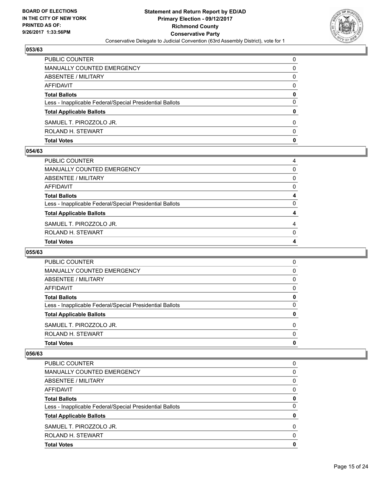

| <b>Total Votes</b>                                       | 0        |
|----------------------------------------------------------|----------|
| ROLAND H. STEWART                                        | 0        |
| SAMUEL T. PIROZZOLO JR.                                  | 0        |
| <b>Total Applicable Ballots</b>                          | 0        |
| Less - Inapplicable Federal/Special Presidential Ballots | 0        |
| <b>Total Ballots</b>                                     | 0        |
| AFFIDAVIT                                                | $\Omega$ |
| ABSENTEE / MILITARY                                      | 0        |
| MANUALLY COUNTED EMERGENCY                               | 0        |
| PUBLIC COUNTER                                           | $\Omega$ |

#### **054/63**

| PUBLIC COUNTER                                           | 4            |
|----------------------------------------------------------|--------------|
| MANUALLY COUNTED EMERGENCY                               | 0            |
| ABSENTEE / MILITARY                                      | $\Omega$     |
| AFFIDAVIT                                                | $\mathbf{0}$ |
| Total Ballots                                            | 4            |
| Less - Inapplicable Federal/Special Presidential Ballots | $\mathbf{0}$ |
| <b>Total Applicable Ballots</b>                          | 4            |
| SAMUEL T. PIROZZOLO JR.                                  | 4            |
| ROLAND H. STEWART                                        | $\Omega$     |
| <b>Total Votes</b>                                       | 4            |
|                                                          |              |

### **055/63**

| 0        |
|----------|
| $\Omega$ |
| 0        |
| 0        |
| 0        |
| 0        |
| $\Omega$ |
| 0        |
| 0        |
| $\Omega$ |
|          |

| <b>Total Votes</b>                                       | 0        |
|----------------------------------------------------------|----------|
| ROLAND H. STEWART                                        | 0        |
| SAMUEL T. PIROZZOLO JR.                                  | $\Omega$ |
| <b>Total Applicable Ballots</b>                          | 0        |
| Less - Inapplicable Federal/Special Presidential Ballots | 0        |
| <b>Total Ballots</b>                                     | 0        |
| AFFIDAVIT                                                | 0        |
| ABSENTEE / MILITARY                                      | 0        |
| MANUALLY COUNTED EMERGENCY                               | 0        |
| <b>PUBLIC COUNTER</b>                                    | 0        |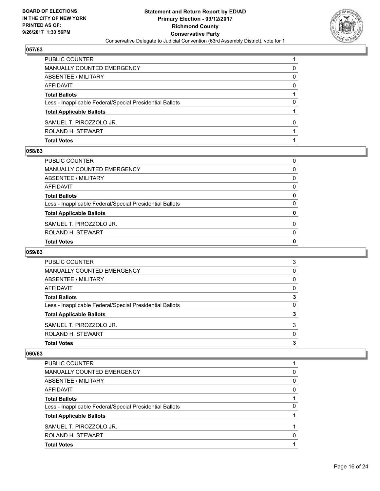

| <b>Total Votes</b>                                       |              |
|----------------------------------------------------------|--------------|
| ROLAND H. STEWART                                        |              |
| SAMUEL T. PIROZZOLO JR.                                  | <sup>0</sup> |
| <b>Total Applicable Ballots</b>                          |              |
| Less - Inapplicable Federal/Special Presidential Ballots | 0            |
| <b>Total Ballots</b>                                     |              |
| AFFIDAVIT                                                | 0            |
| ABSENTEE / MILITARY                                      | 0            |
| MANUALLY COUNTED EMERGENCY                               | 0            |
| PUBLIC COUNTER                                           |              |

#### **058/63**

| $\mathbf{0}$<br>$\mathbf{0}$ |
|------------------------------|
|                              |
|                              |
| 0                            |
| 0                            |
| $\mathbf{0}$                 |
| 0                            |
| $\mathbf{0}$                 |
| $\mathbf{0}$                 |
| $\Omega$                     |
| 0                            |
|                              |

# **059/63**

| <b>Total Votes</b>                                       | 3        |
|----------------------------------------------------------|----------|
| ROLAND H. STEWART                                        | $\Omega$ |
| SAMUEL T. PIROZZOLO JR.                                  | 3        |
| <b>Total Applicable Ballots</b>                          | 3        |
| Less - Inapplicable Federal/Special Presidential Ballots | 0        |
| <b>Total Ballots</b>                                     | 3        |
| AFFIDAVIT                                                | $\Omega$ |
| ABSENTEE / MILITARY                                      | 0        |
| MANUALLY COUNTED EMERGENCY                               | 0        |
| <b>PUBLIC COUNTER</b>                                    | 3        |

| PUBLIC COUNTER                                           |   |
|----------------------------------------------------------|---|
| MANUALLY COUNTED EMERGENCY                               | 0 |
| ABSENTEE / MILITARY                                      | 0 |
| AFFIDAVIT                                                | 0 |
| <b>Total Ballots</b>                                     |   |
| Less - Inapplicable Federal/Special Presidential Ballots | 0 |
| <b>Total Applicable Ballots</b>                          |   |
| SAMUEL T. PIROZZOLO JR.                                  |   |
| ROLAND H. STEWART                                        | 0 |
| <b>Total Votes</b>                                       |   |
|                                                          |   |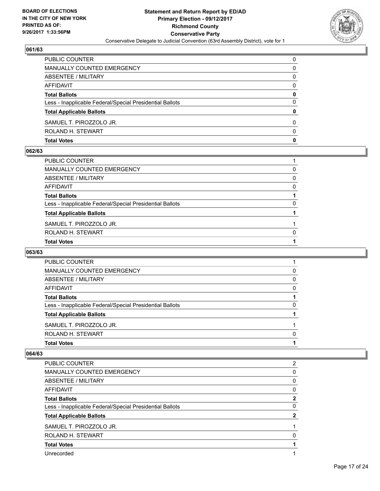

| <b>Total Votes</b>                                       | 0        |
|----------------------------------------------------------|----------|
| ROLAND H. STEWART                                        | 0        |
| SAMUEL T. PIROZZOLO JR.                                  | 0        |
| <b>Total Applicable Ballots</b>                          | 0        |
| Less - Inapplicable Federal/Special Presidential Ballots | 0        |
| <b>Total Ballots</b>                                     | 0        |
| AFFIDAVIT                                                | $\Omega$ |
| <b>ABSENTEE / MILITARY</b>                               | 0        |
| MANUALLY COUNTED EMERGENCY                               | 0        |
| PUBLIC COUNTER                                           | $\Omega$ |

#### **062/63**

| PUBLIC COUNTER                                           |          |
|----------------------------------------------------------|----------|
| MANUALLY COUNTED EMERGENCY                               | 0        |
| ABSENTEE / MILITARY                                      | $\Omega$ |
| AFFIDAVIT                                                | 0        |
| <b>Total Ballots</b>                                     |          |
| Less - Inapplicable Federal/Special Presidential Ballots | 0        |
| <b>Total Applicable Ballots</b>                          |          |
| SAMUEL T. PIROZZOLO JR.                                  |          |
| ROLAND H. STEWART                                        | $\Omega$ |
| <b>Total Votes</b>                                       |          |
|                                                          |          |

# **063/63**

| <b>Total Votes</b>                                       |          |
|----------------------------------------------------------|----------|
| ROLAND H. STEWART                                        | 0        |
| SAMUEL T. PIROZZOLO JR.                                  |          |
| <b>Total Applicable Ballots</b>                          |          |
| Less - Inapplicable Federal/Special Presidential Ballots | $\Omega$ |
| <b>Total Ballots</b>                                     |          |
| AFFIDAVIT                                                | $\Omega$ |
| ABSENTEE / MILITARY                                      | 0        |
| MANUALLY COUNTED EMERGENCY                               | 0        |
| <b>PUBLIC COUNTER</b>                                    |          |

| PUBLIC COUNTER                                           | 2 |
|----------------------------------------------------------|---|
| <b>MANUALLY COUNTED EMERGENCY</b>                        | 0 |
| ABSENTEE / MILITARY                                      | 0 |
| AFFIDAVIT                                                | 0 |
| <b>Total Ballots</b>                                     | 2 |
| Less - Inapplicable Federal/Special Presidential Ballots | 0 |
| <b>Total Applicable Ballots</b>                          | 2 |
| SAMUEL T. PIROZZOLO JR.                                  |   |
| ROLAND H. STEWART                                        | 0 |
| <b>Total Votes</b>                                       |   |
| Unrecorded                                               |   |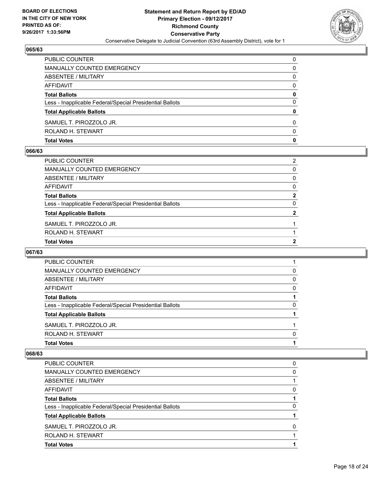

| <b>Total Votes</b>                                       | $\mathbf 0$ |
|----------------------------------------------------------|-------------|
| ROLAND H. STEWART                                        | 0           |
| SAMUEL T. PIROZZOLO JR.                                  | 0           |
| <b>Total Applicable Ballots</b>                          | 0           |
| Less - Inapplicable Federal/Special Presidential Ballots | $\Omega$    |
| <b>Total Ballots</b>                                     | 0           |
| AFFIDAVIT                                                | $\Omega$    |
| ABSENTEE / MILITARY                                      | 0           |
| MANUALLY COUNTED EMERGENCY                               | 0           |
| PUBLIC COUNTER                                           | $\Omega$    |

#### **066/63**

| <b>Total Votes</b>                                       | 2              |
|----------------------------------------------------------|----------------|
| ROLAND H. STEWART                                        |                |
| SAMUEL T. PIROZZOLO JR.                                  |                |
| <b>Total Applicable Ballots</b>                          | $\overline{2}$ |
| Less - Inapplicable Federal/Special Presidential Ballots | $\mathbf{0}$   |
| <b>Total Ballots</b>                                     | $\overline{2}$ |
| AFFIDAVIT                                                | $\mathbf{0}$   |
| ABSENTEE / MILITARY                                      | $\mathbf{0}$   |
| MANUALLY COUNTED EMERGENCY                               | 0              |
| PUBLIC COUNTER                                           | 2              |
|                                                          |                |

# **067/63**

| <b>Total Votes</b>                                       |          |
|----------------------------------------------------------|----------|
| ROLAND H. STEWART                                        | 0        |
| SAMUEL T. PIROZZOLO JR.                                  |          |
| <b>Total Applicable Ballots</b>                          |          |
| Less - Inapplicable Federal/Special Presidential Ballots | $\Omega$ |
| <b>Total Ballots</b>                                     |          |
| AFFIDAVIT                                                | $\Omega$ |
| ABSENTEE / MILITARY                                      | 0        |
| MANUALLY COUNTED EMERGENCY                               | 0        |
| <b>PUBLIC COUNTER</b>                                    |          |

| PUBLIC COUNTER                                           | 0 |
|----------------------------------------------------------|---|
| MANUALLY COUNTED EMERGENCY                               | 0 |
| ABSENTEE / MILITARY                                      |   |
| AFFIDAVIT                                                | 0 |
| <b>Total Ballots</b>                                     |   |
| Less - Inapplicable Federal/Special Presidential Ballots | 0 |
| <b>Total Applicable Ballots</b>                          |   |
| SAMUEL T. PIROZZOLO JR.                                  | O |
| ROLAND H. STEWART                                        |   |
| <b>Total Votes</b>                                       |   |
|                                                          |   |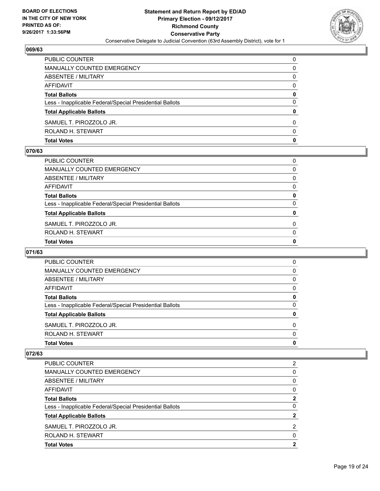

| <b>Total Votes</b>                                       | $\mathbf 0$ |
|----------------------------------------------------------|-------------|
| ROLAND H. STEWART                                        | 0           |
| SAMUEL T. PIROZZOLO JR.                                  | 0           |
| <b>Total Applicable Ballots</b>                          | 0           |
| Less - Inapplicable Federal/Special Presidential Ballots | $\Omega$    |
| <b>Total Ballots</b>                                     | 0           |
| AFFIDAVIT                                                | $\Omega$    |
| ABSENTEE / MILITARY                                      | 0           |
| MANUALLY COUNTED EMERGENCY                               | 0           |
| PUBLIC COUNTER                                           | $\Omega$    |

#### **070/63**

| PUBLIC COUNTER                                           | 0            |
|----------------------------------------------------------|--------------|
| MANUALLY COUNTED EMERGENCY                               | $\Omega$     |
| ABSENTEE / MILITARY                                      | $\Omega$     |
| AFFIDAVIT                                                | 0            |
| <b>Total Ballots</b>                                     | 0            |
| Less - Inapplicable Federal/Special Presidential Ballots | $\Omega$     |
| <b>Total Applicable Ballots</b>                          | 0            |
| SAMUEL T. PIROZZOLO JR.                                  | $\mathbf{0}$ |
| ROLAND H. STEWART                                        | $\mathbf{0}$ |
| <b>Total Votes</b>                                       | 0            |
|                                                          |              |

# **071/63**

| <b>Total Votes</b>                                       | 0        |
|----------------------------------------------------------|----------|
| ROLAND H. STEWART                                        | $\Omega$ |
| SAMUEL T. PIROZZOLO JR.                                  | $\Omega$ |
| <b>Total Applicable Ballots</b>                          | 0        |
| Less - Inapplicable Federal/Special Presidential Ballots | $\Omega$ |
| <b>Total Ballots</b>                                     | 0        |
| AFFIDAVIT                                                | 0        |
| ABSENTEE / MILITARY                                      | 0        |
| MANUALLY COUNTED EMERGENCY                               | 0        |
| <b>PUBLIC COUNTER</b>                                    | 0        |

| <b>Total Votes</b>                                       | 2 |
|----------------------------------------------------------|---|
| ROLAND H. STEWART                                        | 0 |
| SAMUEL T. PIROZZOLO JR.                                  | 2 |
| <b>Total Applicable Ballots</b>                          | 2 |
| Less - Inapplicable Federal/Special Presidential Ballots | 0 |
| <b>Total Ballots</b>                                     | 2 |
| AFFIDAVIT                                                | 0 |
| ABSENTEE / MILITARY                                      | 0 |
| MANUALLY COUNTED EMERGENCY                               | 0 |
| <b>PUBLIC COUNTER</b>                                    | 2 |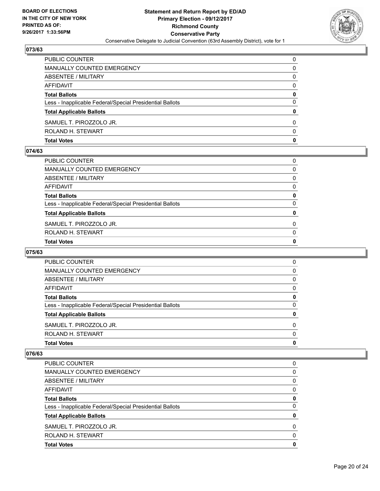

| <b>PUBLIC COUNTER</b>                                    | $\Omega$ |
|----------------------------------------------------------|----------|
| MANUALLY COUNTED EMERGENCY                               | 0        |
| ABSENTEE / MILITARY                                      | 0        |
| <b>AFFIDAVIT</b>                                         | 0        |
| <b>Total Ballots</b>                                     | 0        |
| Less - Inapplicable Federal/Special Presidential Ballots | 0        |
| <b>Total Applicable Ballots</b>                          | 0        |
| SAMUEL T. PIROZZOLO JR.                                  | 0        |
| ROLAND H. STEWART                                        | 0        |
| <b>Total Votes</b>                                       | 0        |

#### **074/63**

| <b>Total Votes</b>                                       | $\mathbf{0}$ |
|----------------------------------------------------------|--------------|
|                                                          |              |
| ROLAND H. STEWART                                        | $\mathbf{0}$ |
| SAMUEL T. PIROZZOLO JR.                                  | $\Omega$     |
| <b>Total Applicable Ballots</b>                          | 0            |
| Less - Inapplicable Federal/Special Presidential Ballots | 0            |
| <b>Total Ballots</b>                                     | 0            |
| AFFIDAVIT                                                | 0            |
| ABSENTEE / MILITARY                                      | $\Omega$     |
| MANUALLY COUNTED EMERGENCY                               | $\Omega$     |
| PUBLIC COUNTER                                           | 0            |
|                                                          |              |

# **075/63**

| <b>Total Votes</b>                                       |          |
|----------------------------------------------------------|----------|
|                                                          | 0        |
| ROLAND H. STEWART                                        | $\Omega$ |
| SAMUEL T. PIROZZOLO JR.                                  | 0        |
| <b>Total Applicable Ballots</b>                          | 0        |
| Less - Inapplicable Federal/Special Presidential Ballots | 0        |
| <b>Total Ballots</b>                                     | 0        |
| AFFIDAVIT                                                | 0        |
| ABSENTEE / MILITARY                                      | 0        |
| MANUALLY COUNTED EMERGENCY                               | 0        |
| <b>PUBLIC COUNTER</b>                                    | 0        |

| <b>Total Votes</b>                                       | 0        |
|----------------------------------------------------------|----------|
| ROLAND H. STEWART                                        | 0        |
| SAMUEL T. PIROZZOLO JR.                                  | $\Omega$ |
| <b>Total Applicable Ballots</b>                          | 0        |
| Less - Inapplicable Federal/Special Presidential Ballots | 0        |
| <b>Total Ballots</b>                                     | 0        |
| AFFIDAVIT                                                | 0        |
| ABSENTEE / MILITARY                                      | 0        |
| MANUALLY COUNTED EMERGENCY                               | 0        |
| <b>PUBLIC COUNTER</b>                                    | 0        |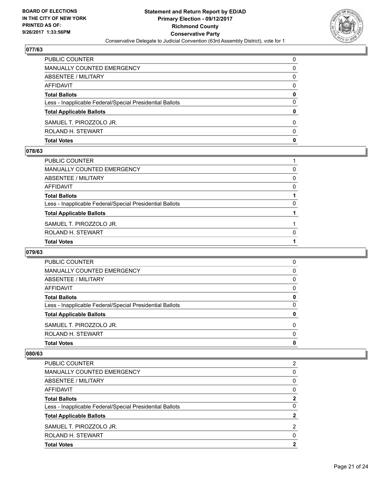

| PUBLIC COUNTER                                           | $\Omega$ |
|----------------------------------------------------------|----------|
| MANUALLY COUNTED EMERGENCY                               | 0        |
| ABSENTEE / MILITARY                                      | 0        |
| AFFIDAVIT                                                | 0        |
| <b>Total Ballots</b>                                     | 0        |
| Less - Inapplicable Federal/Special Presidential Ballots | $\Omega$ |
| <b>Total Applicable Ballots</b>                          | 0        |
| SAMUEL T. PIROZZOLO JR.                                  | $\Omega$ |
| ROLAND H. STEWART                                        | $\Omega$ |
| <b>Total Votes</b>                                       | 0        |

#### **078/63**

| PUBLIC COUNTER                                           |          |
|----------------------------------------------------------|----------|
| MANUALLY COUNTED EMERGENCY                               | 0        |
| ABSENTEE / MILITARY                                      | $\Omega$ |
| AFFIDAVIT                                                | 0        |
| <b>Total Ballots</b>                                     |          |
| Less - Inapplicable Federal/Special Presidential Ballots | 0        |
| <b>Total Applicable Ballots</b>                          |          |
| SAMUEL T. PIROZZOLO JR.                                  |          |
| ROLAND H. STEWART                                        | $\Omega$ |
| <b>Total Votes</b>                                       |          |
|                                                          |          |

# **079/63**

| <b>Total Votes</b>                                       | 0        |
|----------------------------------------------------------|----------|
| ROLAND H. STEWART                                        | $\Omega$ |
| SAMUEL T. PIROZZOLO JR.                                  | 0        |
| <b>Total Applicable Ballots</b>                          | 0        |
| Less - Inapplicable Federal/Special Presidential Ballots | $\Omega$ |
| <b>Total Ballots</b>                                     | 0        |
| AFFIDAVIT                                                | $\Omega$ |
| ABSENTEE / MILITARY                                      | 0        |
| <b>MANUALLY COUNTED EMERGENCY</b>                        | 0        |
| <b>PUBLIC COUNTER</b>                                    | 0        |

| <b>PUBLIC COUNTER</b>                                    | 2        |
|----------------------------------------------------------|----------|
| MANUALLY COUNTED EMERGENCY                               | 0        |
| ABSENTEE / MILITARY                                      | 0        |
| AFFIDAVIT                                                | 0        |
| <b>Total Ballots</b>                                     | 2        |
| Less - Inapplicable Federal/Special Presidential Ballots | 0        |
| <b>Total Applicable Ballots</b>                          | 2        |
| SAMUEL T. PIROZZOLO JR.                                  | 2        |
| ROLAND H. STEWART                                        | $\Omega$ |
| <b>Total Votes</b>                                       | 2        |
|                                                          |          |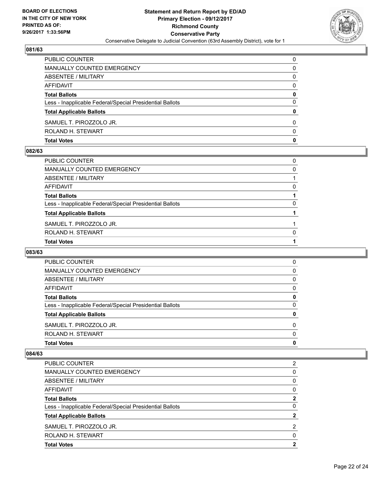

| <b>PUBLIC COUNTER</b>                                    | $\Omega$ |
|----------------------------------------------------------|----------|
| MANUALLY COUNTED EMERGENCY                               | 0        |
| ABSENTEE / MILITARY                                      | 0        |
| <b>AFFIDAVIT</b>                                         | 0        |
| <b>Total Ballots</b>                                     | 0        |
| Less - Inapplicable Federal/Special Presidential Ballots | 0        |
| <b>Total Applicable Ballots</b>                          | 0        |
| SAMUEL T. PIROZZOLO JR.                                  | 0        |
| ROLAND H. STEWART                                        | 0        |
| <b>Total Votes</b>                                       | 0        |

#### **082/63**

| PUBLIC COUNTER                                           | 0        |
|----------------------------------------------------------|----------|
| MANUALLY COUNTED EMERGENCY                               | 0        |
| ABSENTEE / MILITARY                                      |          |
| AFFIDAVIT                                                | 0        |
| Total Ballots                                            |          |
| Less - Inapplicable Federal/Special Presidential Ballots | 0        |
| <b>Total Applicable Ballots</b>                          |          |
| SAMUEL T. PIROZZOLO JR.                                  |          |
| ROLAND H. STEWART                                        | $\Omega$ |
| <b>Total Votes</b>                                       |          |
|                                                          |          |

### **083/63**

| <b>Total Votes</b>                                       |          |
|----------------------------------------------------------|----------|
|                                                          | 0        |
| ROLAND H. STEWART                                        | $\Omega$ |
| SAMUEL T. PIROZZOLO JR.                                  | 0        |
| <b>Total Applicable Ballots</b>                          | 0        |
| Less - Inapplicable Federal/Special Presidential Ballots | 0        |
| <b>Total Ballots</b>                                     | 0        |
| AFFIDAVIT                                                | 0        |
| ABSENTEE / MILITARY                                      | 0        |
| MANUALLY COUNTED EMERGENCY                               | 0        |
| <b>PUBLIC COUNTER</b>                                    | 0        |

| <b>PUBLIC COUNTER</b>                                    | 2        |
|----------------------------------------------------------|----------|
| MANUALLY COUNTED EMERGENCY                               | 0        |
| ABSENTEE / MILITARY                                      | 0        |
| AFFIDAVIT                                                | 0        |
| <b>Total Ballots</b>                                     | 2        |
| Less - Inapplicable Federal/Special Presidential Ballots | 0        |
| <b>Total Applicable Ballots</b>                          | 2        |
| SAMUEL T. PIROZZOLO JR.                                  | 2        |
| ROLAND H. STEWART                                        | $\Omega$ |
| <b>Total Votes</b>                                       | 2        |
|                                                          |          |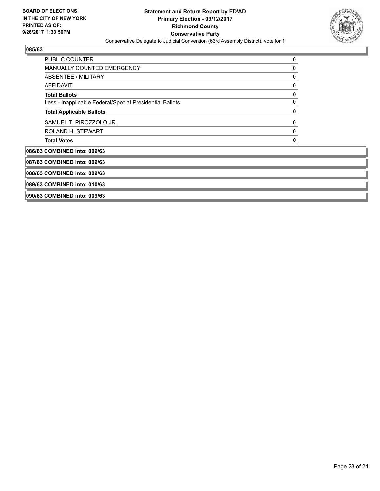

**Service Service**  $\overline{\phantom{a}}$ 

| 0 |
|---|
|   |
|   |
|   |
|   |
|   |
|   |
|   |
|   |
|   |
|   |
|   |